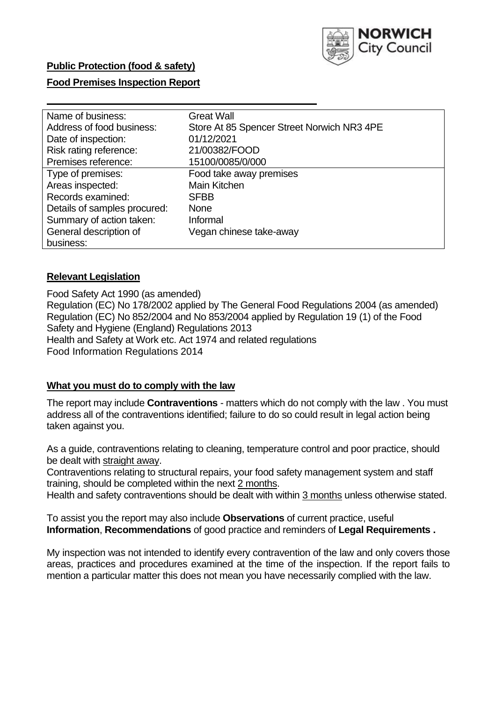

### **Public Protection (food & safety)**

### **Food Premises Inspection Report**

| Name of business:            | <b>Great Wall</b>                          |
|------------------------------|--------------------------------------------|
| Address of food business:    | Store At 85 Spencer Street Norwich NR3 4PE |
| Date of inspection:          | 01/12/2021                                 |
| Risk rating reference:       | 21/00382/FOOD                              |
| Premises reference:          | 15100/0085/0/000                           |
| Type of premises:            | Food take away premises                    |
| Areas inspected:             | Main Kitchen                               |
| Records examined:            | <b>SFBB</b>                                |
| Details of samples procured: | <b>None</b>                                |
| Summary of action taken:     | Informal                                   |
| General description of       | Vegan chinese take-away                    |
| business:                    |                                            |

### **Relevant Legislation**

 Food Safety Act 1990 (as amended) Regulation (EC) No 178/2002 applied by The General Food Regulations 2004 (as amended) Regulation (EC) No 852/2004 and No 853/2004 applied by Regulation 19 (1) of the Food Safety and Hygiene (England) Regulations 2013 Health and Safety at Work etc. Act 1974 and related regulations Food Information Regulations 2014

#### **What you must do to comply with the law**

 The report may include **Contraventions** - matters which do not comply with the law . You must address all of the contraventions identified; failure to do so could result in legal action being taken against you.

 As a guide, contraventions relating to cleaning, temperature control and poor practice, should be dealt with straight away.

 Contraventions relating to structural repairs, your food safety management system and staff training, should be completed within the next 2 months.

Health and safety contraventions should be dealt with within 3 months unless otherwise stated.

 To assist you the report may also include **Observations** of current practice, useful **Information**, **Recommendations** of good practice and reminders of **Legal Requirements .** 

 My inspection was not intended to identify every contravention of the law and only covers those areas, practices and procedures examined at the time of the inspection. If the report fails to mention a particular matter this does not mean you have necessarily complied with the law.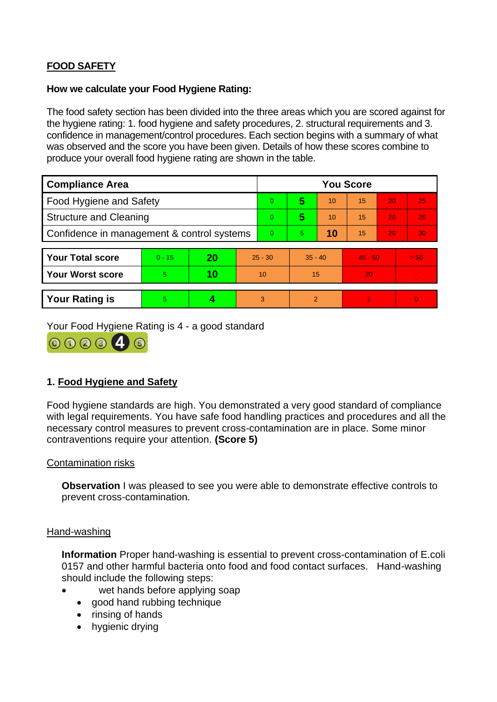# **FOOD SAFETY**

### **How we calculate your Food Hygiene Rating:**

 The food safety section has been divided into the three areas which you are scored against for the hygiene rating: 1. food hygiene and safety procedures, 2. structural requirements and 3. confidence in management/control procedures. Each section begins with a summary of what was observed and the score you have been given. Details of how these scores combine to produce your overall food hygiene rating are shown in the table.

| <b>Compliance Area</b>                     |          |    |           | <b>You Score</b> |                |    |           |    |                |  |  |
|--------------------------------------------|----------|----|-----------|------------------|----------------|----|-----------|----|----------------|--|--|
| Food Hygiene and Safety                    |          |    |           | $\overline{0}$   | 5              | 10 | 15        | 20 | 25             |  |  |
| <b>Structure and Cleaning</b>              |          |    |           | $\overline{0}$   | 5              | 10 | 15        | 20 | 25             |  |  |
| Confidence in management & control systems |          |    | $\Omega$  | 5                | 10             | 15 | 20        | 30 |                |  |  |
|                                            |          |    |           |                  |                |    |           |    |                |  |  |
| <b>Your Total score</b>                    | $0 - 15$ | 20 | $25 - 30$ |                  | $35 - 40$      |    | $45 - 50$ |    | > 50           |  |  |
| <b>Your Worst score</b>                    | 5        | 10 | 10        |                  | 15             |    | 20        |    | $\blacksquare$ |  |  |
|                                            |          |    |           |                  |                |    |           |    |                |  |  |
| <b>Your Rating is</b>                      | 5        |    |           | 3                | $\overline{2}$ |    |           |    | $\overline{0}$ |  |  |

Your Food Hygiene Rating is 4 - a good standard



# **1. Food Hygiene and Safety**

 with legal requirements. You have safe food handling practices and procedures and all the Food hygiene standards are high. You demonstrated a very good standard of compliance necessary control measures to prevent cross-contamination are in place. Some minor contraventions require your attention. **(Score 5)** 

### Contamination risks

**Observation** I was pleased to see you were able to demonstrate effective controls to prevent cross-contamination.

### Hand-washing

**Information** Proper hand-washing is essential to prevent cross-contamination of E.coli 0157 and other harmful bacteria onto food and food contact surfaces. Hand-washing should include the following steps:

- wet hands before applying soap
- good hand rubbing technique
- rinsing of hands
- hygienic drying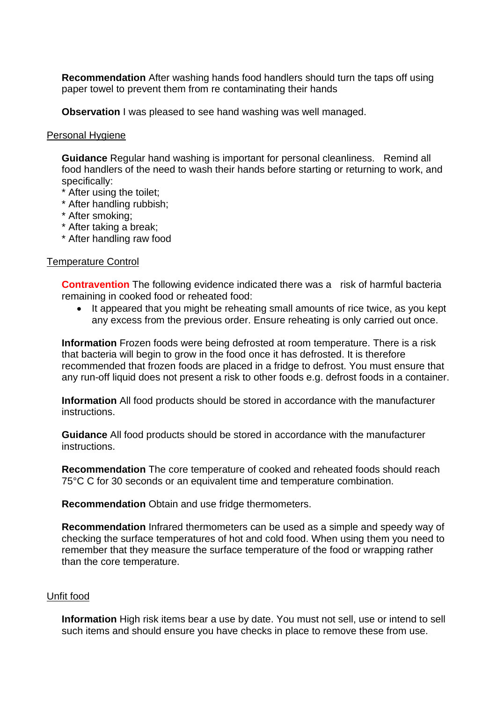**Recommendation** After washing hands food handlers should turn the taps off using paper towel to prevent them from re contaminating their hands

**Observation** I was pleased to see hand washing was well managed.

### Personal Hygiene

 **Guidance** Regular hand washing is important for personal cleanliness. Remind all food handlers of the need to wash their hands before starting or returning to work, and specifically:

- \* After using the toilet;
- \* After handling rubbish;
- \* After smoking;
- \* After taking a break;
- \* After handling raw food

### Temperature Control

 **Contravention** The following evidence indicated there was a risk of harmful bacteria remaining in cooked food or reheated food:

It appeared that you might be reheating small amounts of rice twice, as you kept any excess from the previous order. Ensure reheating is only carried out once.

**Information** Frozen foods were being defrosted at room temperature. There is a risk that bacteria will begin to grow in the food once it has defrosted. It is therefore recommended that frozen foods are placed in a fridge to defrost. You must ensure that any run-off liquid does not present a risk to other foods e.g. defrost foods in a container.

**Information** All food products should be stored in accordance with the manufacturer instructions.

**Guidance** All food products should be stored in accordance with the manufacturer instructions.

 75°C C for 30 seconds or an equivalent time and temperature combination. **Recommendation** The core temperature of cooked and reheated foods should reach

**Recommendation** Obtain and use fridge thermometers.

 checking the surface temperatures of hot and cold food. When using them you need to **Recommendation** Infrared thermometers can be used as a simple and speedy way of remember that they measure the surface temperature of the food or wrapping rather than the core temperature.

#### Unfit food

**Information** High risk items bear a use by date. You must not sell, use or intend to sell such items and should ensure you have checks in place to remove these from use.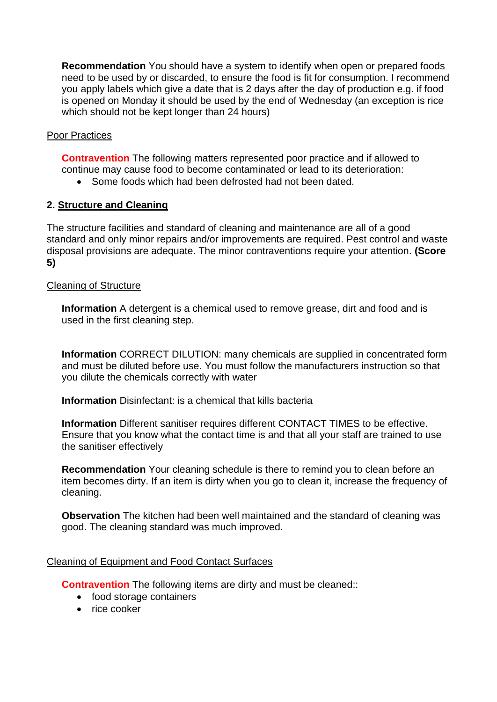**Recommendation** You should have a system to identify when open or prepared foods need to be used by or discarded, to ensure the food is fit for consumption. I recommend you apply labels which give a date that is 2 days after the day of production e.g. if food is opened on Monday it should be used by the end of Wednesday (an exception is rice which should not be kept longer than 24 hours)

# Poor Practices

 **Contravention** The following matters represented poor practice and if allowed to continue may cause food to become contaminated or lead to its deterioration:

• Some foods which had been defrosted had not been dated.

# **2. Structure and Cleaning**

 The structure facilities and standard of cleaning and maintenance are all of a good standard and only minor repairs and/or improvements are required. Pest control and waste disposal provisions are adequate. The minor contraventions require your attention. **(Score 5)** 

### Cleaning of Structure

 **Information** A detergent is a chemical used to remove grease, dirt and food and is used in the first cleaning step.

**Information** CORRECT DILUTION: many chemicals are supplied in concentrated form and must be diluted before use. You must follow the manufacturers instruction so that you dilute the chemicals correctly with water

**Information** Disinfectant: is a chemical that kills bacteria

 **Information** Different sanitiser requires different CONTACT TIMES to be effective. Ensure that you know what the contact time is and that all your staff are trained to use the sanitiser effectively

 **Recommendation** Your cleaning schedule is there to remind you to clean before an item becomes dirty. If an item is dirty when you go to clean it, increase the frequency of cleaning.

 **Observation** The kitchen had been well maintained and the standard of cleaning was good. The cleaning standard was much improved.

### Cleaning of Equipment and Food Contact Surfaces

**Contravention** The following items are dirty and must be cleaned::

- food storage containers
- rice cooker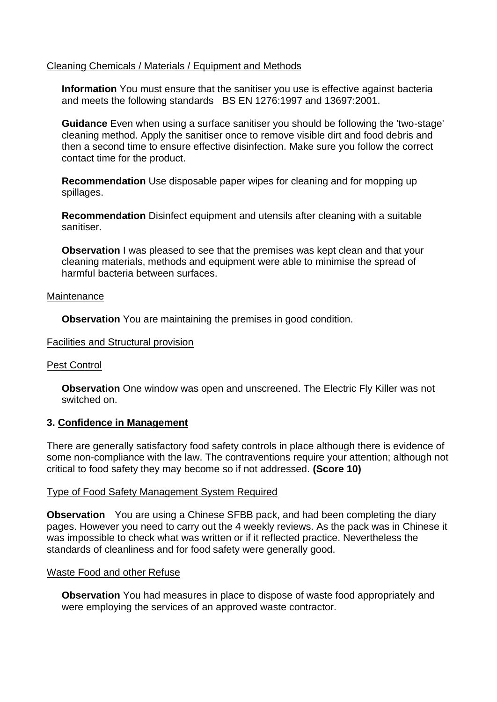### Cleaning Chemicals / Materials / Equipment and Methods

 and meets the following standards BS EN 1276:1997 and 13697:2001. **Information** You must ensure that the sanitiser you use is effective against bacteria

 **Guidance** Even when using a surface sanitiser you should be following the 'two-stage' cleaning method. Apply the sanitiser once to remove visible dirt and food debris and then a second time to ensure effective disinfection. Make sure you follow the correct contact time for the product.

**Recommendation** Use disposable paper wipes for cleaning and for mopping up spillages.

**Recommendation** Disinfect equipment and utensils after cleaning with a suitable sanitiser.

**Observation** I was pleased to see that the premises was kept clean and that your cleaning materials, methods and equipment were able to minimise the spread of harmful bacteria between surfaces.

#### **Maintenance**

**Observation** You are maintaining the premises in good condition.

#### Facilities and Structural provision

#### Pest Control

**Observation** One window was open and unscreened. The Electric Fly Killer was not switched on.

#### **3. Confidence in Management**

 There are generally satisfactory food safety controls in place although there is evidence of some non-compliance with the law. The contraventions require your attention; although not critical to food safety they may become so if not addressed. **(Score 10)** 

#### Type of Food Safety Management System Required

 **Observation** You are using a Chinese SFBB pack, and had been completing the diary pages. However you need to carry out the 4 weekly reviews. As the pack was in Chinese it was impossible to check what was written or if it reflected practice. Nevertheless the standards of cleanliness and for food safety were generally good.

#### Waste Food and other Refuse

 **Observation** You had measures in place to dispose of waste food appropriately and were employing the services of an approved waste contractor.